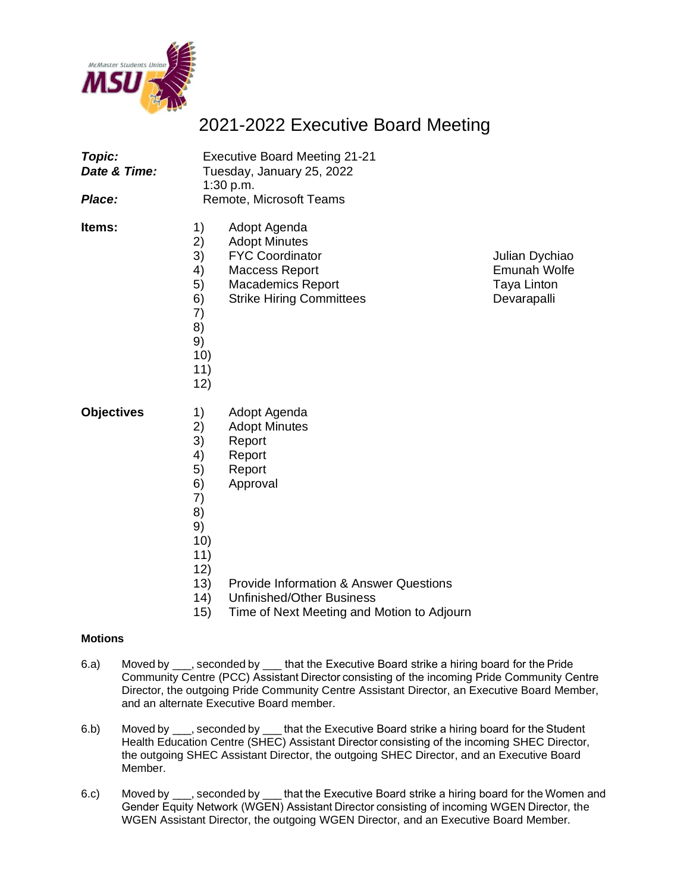

## 2021-2022 Executive Board Meeting

| Topic:<br>Date & Time:<br>Place: | <b>Executive Board Meeting 21-21</b><br>Tuesday, January 25, 2022<br>1:30 p.m.<br>Remote, Microsoft Teams                                                                                                                  |                                                              |
|----------------------------------|----------------------------------------------------------------------------------------------------------------------------------------------------------------------------------------------------------------------------|--------------------------------------------------------------|
| ltems:                           | 1)<br>Adopt Agenda<br>2)<br><b>Adopt Minutes</b><br>3)<br><b>FYC Coordinator</b><br>4)<br>Maccess Report<br>5)<br><b>Macademics Report</b><br>6)<br><b>Strike Hiring Committees</b><br>7)<br>8)<br>9)<br>10)<br>11)<br>12) | Julian Dychiao<br>Emunah Wolfe<br>Taya Linton<br>Devarapalli |
| <b>Objectives</b>                | 1)<br>Adopt Agenda<br>2)<br><b>Adopt Minutes</b><br>3)<br>Report<br>4)<br>Report<br>5)<br>Report<br>6)<br>Approval<br>7)<br>8)<br>9)<br>10)<br>11)<br>12)<br>13)<br><b>Provide Information &amp; Answer Questions</b>      |                                                              |
|                                  | <b>Unfinished/Other Business</b><br>14)                                                                                                                                                                                    |                                                              |

15) Time of Next Meeting and Motion to Adjourn

## **Motions**

- 6.a) Moved by \_\_\_, seconded by \_\_\_ that the Executive Board strike a hiring board for the Pride Community Centre (PCC) Assistant Director consisting of the incoming Pride Community Centre Director, the outgoing Pride Community Centre Assistant Director, an Executive Board Member, and an alternate Executive Board member.
- 6.b) Moved by \_\_\_, seconded by \_\_\_ that the Executive Board strike a hiring board for the Student Health Education Centre (SHEC) Assistant Director consisting of the incoming SHEC Director, the outgoing SHEC Assistant Director, the outgoing SHEC Director, and an Executive Board Member.
- 6.c) Moved by \_\_\_, seconded by \_\_\_ that the Executive Board strike a hiring board for the Women and Gender Equity Network (WGEN) Assistant Director consisting of incoming WGEN Director, the WGEN Assistant Director, the outgoing WGEN Director, and an Executive Board Member.